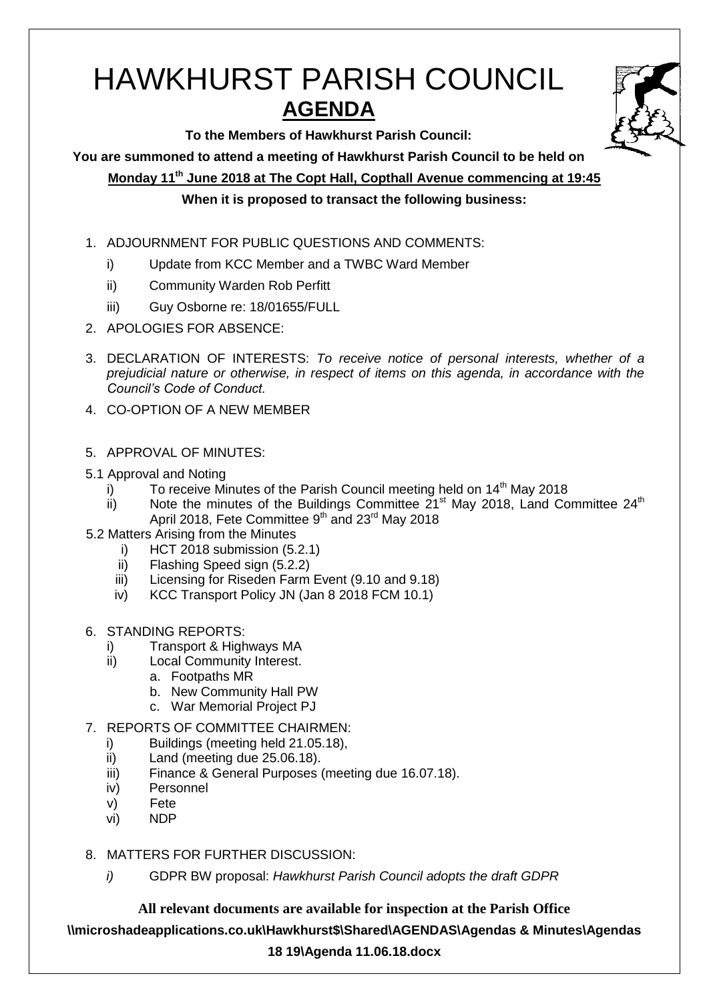# HAWKHURST PARISH COUNCIL **AGENDA**



**To the Members of Hawkhurst Parish Council:**

**You are summoned to attend a meeting of Hawkhurst Parish Council to be held on**

**Monday 11th June 2018 at The Copt Hall, Copthall Avenue commencing at 19:45**

### **When it is proposed to transact the following business:**

- 1. ADJOURNMENT FOR PUBLIC QUESTIONS AND COMMENTS:
	- i) Update from KCC Member and a TWBC Ward Member
	- ii) Community Warden Rob Perfitt
	- iii) Guy Osborne re: 18/01655/FULL
- 2. APOLOGIES FOR ABSENCE:
- 3. DECLARATION OF INTERESTS: *To receive notice of personal interests, whether of a prejudicial nature or otherwise, in respect of items on this agenda, in accordance with the Council's Code of Conduct.*
- 4. CO-OPTION OF A NEW MEMBER
- 5. APPROVAL OF MINUTES:
- 5.1 Approval and Noting
	- i) To receive Minutes of the Parish Council meeting held on  $14<sup>th</sup>$  May 2018
	- ii) Note the minutes of the Buildings Committee  $21^{st}$  May 2018, Land Committee 24<sup>th</sup> April 2018, Fete Committee 9<sup>th</sup> and 23<sup>rd</sup> May 2018
- 5.2 Matters Arising from the Minutes
	- i) HCT 2018 submission (5.2.1)
	- ii) Flashing Speed sign (5.2.2)
	- iii) Licensing for Riseden Farm Event (9.10 and 9.18)
	- iv) KCC Transport Policy JN (Jan 8 2018 FCM 10.1)
- 6. STANDING REPORTS:
	- i) Transport & Highways MA
	- ii) Local Community Interest.
		- a. Footpaths MR
			- b. New Community Hall PW
		- c. War Memorial Project PJ
- 7. REPORTS OF COMMITTEE CHAIRMEN:
	- i) Buildings (meeting held 21.05.18),
	- ii) Land (meeting due 25.06.18).
	- iii) Finance & General Purposes (meeting due 16.07.18).
	- iv) Personnel
	- v) Fete
	- vi) NDP
- 8. MATTERS FOR FURTHER DISCUSSION:
	- *i)* GDPR BW proposal: *Hawkhurst Parish Council adopts the draft GDPR*

## **All relevant documents are available for inspection at the Parish Office**

**\\microshadeapplications.co.uk\Hawkhurst\$\Shared\AGENDAS\Agendas & Minutes\Agendas** 

#### **18 19\Agenda 11.06.18.docx**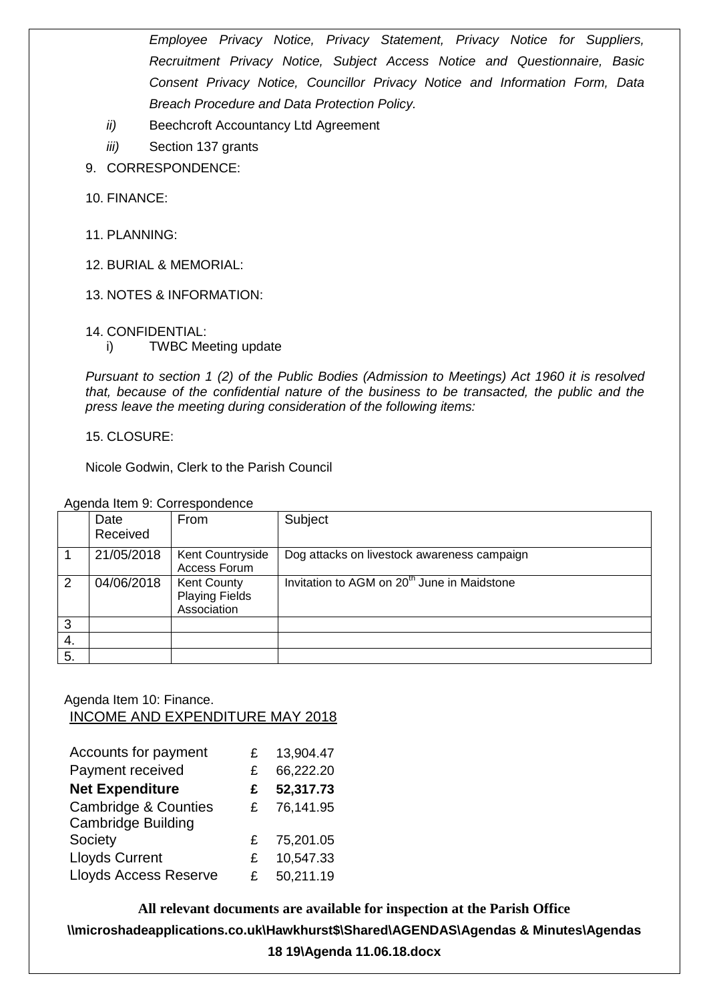*Employee Privacy Notice, Privacy Statement, Privacy Notice for Suppliers, Recruitment Privacy Notice, Subject Access Notice and Questionnaire, Basic Consent Privacy Notice, Councillor Privacy Notice and Information Form, Data Breach Procedure and Data Protection Policy.*

- *ii)* Beechcroft Accountancy Ltd Agreement
- *iii)* Section 137 grants
- 9. CORRESPONDENCE:
- 10. FINANCE:
- 11. PLANNING:
- 12. BURIAL & MEMORIAL:
- 13. NOTES & INFORMATION:
- 14. CONFIDENTIAL:
	- i) TWBC Meeting update

*Pursuant to section 1 (2) of the Public Bodies (Admission to Meetings) Act 1960 it is resolved that, because of the confidential nature of the business to be transacted, the public and the press leave the meeting during consideration of the following items:*

15. CLOSURE:

Nicole Godwin, Clerk to the Parish Council

Agenda Item 9: Correspondence

|    | Date<br>Received | From                                                       | Subject                                                 |
|----|------------------|------------------------------------------------------------|---------------------------------------------------------|
|    | 21/05/2018       | Kent Countryside<br>Access Forum                           | Dog attacks on livestock awareness campaign             |
| 2  | 04/06/2018       | <b>Kent County</b><br><b>Playing Fields</b><br>Association | Invitation to AGM on 20 <sup>th</sup> June in Maidstone |
| 3  |                  |                                                            |                                                         |
| 4. |                  |                                                            |                                                         |
| 5. |                  |                                                            |                                                         |

#### Agenda Item 10: Finance. INCOME AND EXPENDITURE MAY 2018

| Accounts for payment            | £  | 13,904.47 |
|---------------------------------|----|-----------|
| Payment received                | £  | 66,222.20 |
| <b>Net Expenditure</b>          | £  | 52,317.73 |
| <b>Cambridge &amp; Counties</b> | £  | 76,141.95 |
| <b>Cambridge Building</b>       |    |           |
| Society                         | £  | 75,201.05 |
| <b>Lloyds Current</b>           | £. | 10,547.33 |
| <b>Lloyds Access Reserve</b>    | £  | 50,211.19 |

**All relevant documents are available for inspection at the Parish Office \\microshadeapplications.co.uk\Hawkhurst\$\Shared\AGENDAS\Agendas & Minutes\Agendas 18 19\Agenda 11.06.18.docx**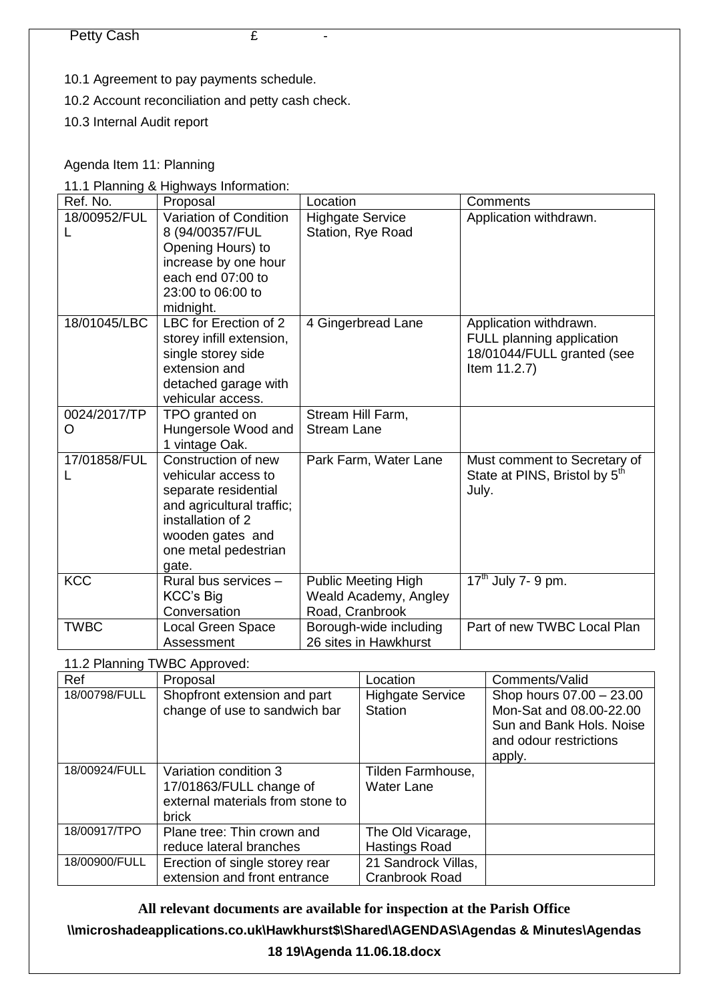- 10.1 Agreement to pay payments schedule.
- 10.2 Account reconciliation and petty cash check.
- 10.3 Internal Audit report

#### Agenda Item 11: Planning

11.1 Planning & Highways Information:

| Ref. No.          | Proposal                                                                                                                                                                  | Location                                                               | Comments                                                                                          |
|-------------------|---------------------------------------------------------------------------------------------------------------------------------------------------------------------------|------------------------------------------------------------------------|---------------------------------------------------------------------------------------------------|
| 18/00952/FUL      | Variation of Condition<br>8 (94/00357/FUL<br>Opening Hours) to<br>increase by one hour<br>each end 07:00 to<br>23:00 to 06:00 to<br>midnight.                             | <b>Highgate Service</b><br>Station, Rye Road                           | Application withdrawn.                                                                            |
| 18/01045/LBC      | LBC for Erection of 2<br>storey infill extension,<br>single storey side<br>extension and<br>detached garage with<br>vehicular access.                                     | 4 Gingerbread Lane                                                     | Application withdrawn.<br>FULL planning application<br>18/01044/FULL granted (see<br>Item 11.2.7) |
| 0024/2017/TP<br>O | TPO granted on<br>Hungersole Wood and<br>1 vintage Oak.                                                                                                                   | Stream Hill Farm,<br><b>Stream Lane</b>                                |                                                                                                   |
| 17/01858/FUL<br>L | Construction of new<br>vehicular access to<br>separate residential<br>and agricultural traffic;<br>installation of 2<br>wooden gates and<br>one metal pedestrian<br>gate. | Park Farm, Water Lane                                                  | Must comment to Secretary of<br>State at PINS, Bristol by 5 <sup>th</sup><br>July.                |
| <b>KCC</b>        | Rural bus services -<br>KCC's Big<br>Conversation                                                                                                                         | <b>Public Meeting High</b><br>Weald Academy, Angley<br>Road, Cranbrook | $17th$ July 7- 9 pm.                                                                              |
| <b>TWBC</b>       | Local Green Space<br>Assessment                                                                                                                                           | Borough-wide including<br>26 sites in Hawkhurst                        | Part of new TWBC Local Plan                                                                       |

11.2 Planning TWBC Approved:

| Ref           | Proposal                                                                                             | Location                                  | Comments/Valid                                                                                                      |
|---------------|------------------------------------------------------------------------------------------------------|-------------------------------------------|---------------------------------------------------------------------------------------------------------------------|
| 18/00798/FULL | Shopfront extension and part<br>change of use to sandwich bar                                        | <b>Highgate Service</b><br><b>Station</b> | Shop hours 07.00 - 23.00<br>Mon-Sat and 08.00-22.00<br>Sun and Bank Hols, Noise<br>and odour restrictions<br>apply. |
| 18/00924/FULL | Variation condition 3<br>17/01863/FULL change of<br>external materials from stone to<br><b>brick</b> | Tilden Farmhouse,<br><b>Water Lane</b>    |                                                                                                                     |
| 18/00917/TPO  | Plane tree: Thin crown and<br>reduce lateral branches                                                | The Old Vicarage,<br><b>Hastings Road</b> |                                                                                                                     |
| 18/00900/FULL | Erection of single storey rear<br>extension and front entrance                                       | 21 Sandrock Villas,<br>Cranbrook Road     |                                                                                                                     |

**All relevant documents are available for inspection at the Parish Office**

**\\microshadeapplications.co.uk\Hawkhurst\$\Shared\AGENDAS\Agendas & Minutes\Agendas** 

#### **18 19\Agenda 11.06.18.docx**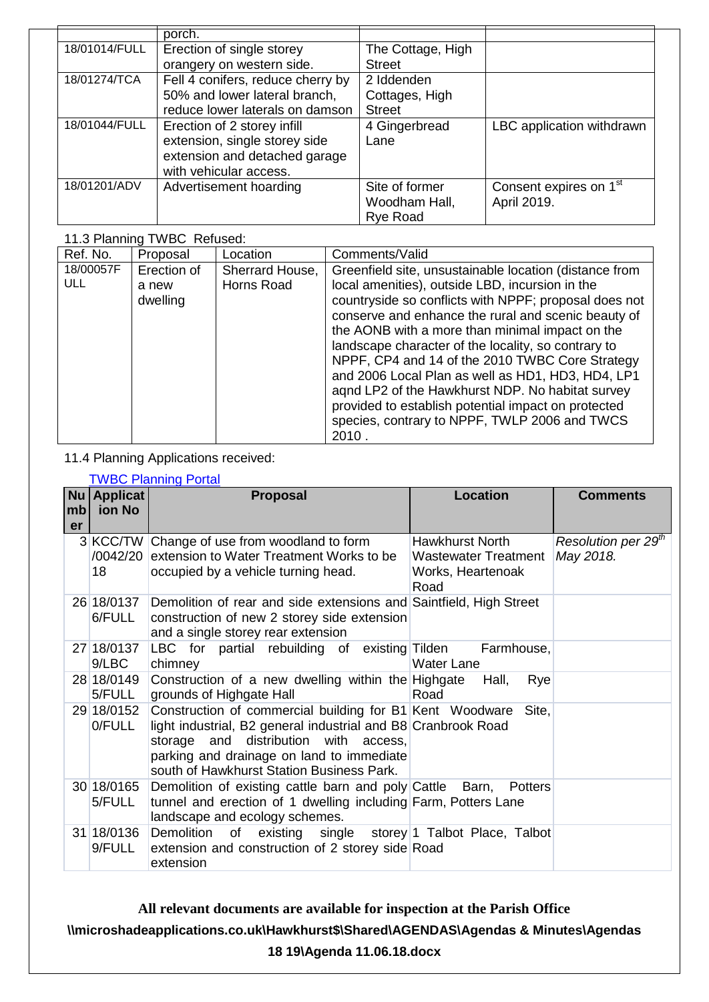|               | porch.                            |                   |                                    |
|---------------|-----------------------------------|-------------------|------------------------------------|
| 18/01014/FULL | Erection of single storey         | The Cottage, High |                                    |
|               | orangery on western side.         | <b>Street</b>     |                                    |
| 18/01274/TCA  | Fell 4 conifers, reduce cherry by | 2 Iddenden        |                                    |
|               | 50% and lower lateral branch,     | Cottages, High    |                                    |
|               | reduce lower laterals on damson   | <b>Street</b>     |                                    |
| 18/01044/FULL | Erection of 2 storey infill       | 4 Gingerbread     | LBC application withdrawn          |
|               | extension, single storey side     | Lane              |                                    |
|               | extension and detached garage     |                   |                                    |
|               | with vehicular access.            |                   |                                    |
| 18/01201/ADV  | Advertisement hoarding            | Site of former    | Consent expires on 1 <sup>st</sup> |
|               |                                   | Woodham Hall,     | April 2019.                        |
|               |                                   | <b>Rye Road</b>   |                                    |

#### 11.3 Planning TWBC Refused:

| Ref. No.         | Proposal                         | Location                      | Comments/Valid                                                                                                                                                                                                                                                                                                                                                                                                                                                                                                                                                                                                   |
|------------------|----------------------------------|-------------------------------|------------------------------------------------------------------------------------------------------------------------------------------------------------------------------------------------------------------------------------------------------------------------------------------------------------------------------------------------------------------------------------------------------------------------------------------------------------------------------------------------------------------------------------------------------------------------------------------------------------------|
| 18/00057F<br>ULL | Erection of<br>a new<br>dwelling | Sherrard House,<br>Horns Road | Greenfield site, unsustainable location (distance from<br>local amenities), outside LBD, incursion in the<br>countryside so conflicts with NPPF; proposal does not<br>conserve and enhance the rural and scenic beauty of<br>the AONB with a more than minimal impact on the<br>landscape character of the locality, so contrary to<br>NPPF, CP4 and 14 of the 2010 TWBC Core Strategy<br>and 2006 Local Plan as well as HD1, HD3, HD4, LP1<br>agnd LP2 of the Hawkhurst NDP. No habitat survey<br>provided to establish potential impact on protected<br>species, contrary to NPPF, TWLP 2006 and TWCS<br>2010. |

# 11.4 Planning Applications received:

|                 | <b>TWBC Planning Portal</b> |                                                                                                                                                                                                                                                                       |                                                                                    |                                              |  |  |
|-----------------|-----------------------------|-----------------------------------------------------------------------------------------------------------------------------------------------------------------------------------------------------------------------------------------------------------------------|------------------------------------------------------------------------------------|----------------------------------------------|--|--|
|                 | $Nu$ Applicat               | <b>Proposal</b>                                                                                                                                                                                                                                                       | <b>Location</b>                                                                    | <b>Comments</b>                              |  |  |
| mb <sub>l</sub> | ion No                      |                                                                                                                                                                                                                                                                       |                                                                                    |                                              |  |  |
| er              | 18                          | 3 KCC/TW Change of use from woodland to form<br>/0042/20 extension to Water Treatment Works to be<br>occupied by a vehicle turning head.                                                                                                                              | <b>Hawkhurst North</b><br><b>Wastewater Treatment</b><br>Works, Heartenoak<br>Road | Resolution per 29 <sup>th</sup><br>May 2018. |  |  |
|                 | 26 18/0137<br>6/FULL        | Demolition of rear and side extensions and Saintfield, High Street<br>construction of new 2 storey side extension<br>and a single storey rear extension                                                                                                               |                                                                                    |                                              |  |  |
|                 | 27 18/0137<br>9/LBC         | LBC for partial rebuilding of existing Tilden Farmhouse,<br>chimney                                                                                                                                                                                                   | <b>Water Lane</b>                                                                  |                                              |  |  |
|                 | 28 18/0149<br>5/FULL        | Construction of a new dwelling within the Highgate<br>grounds of Highgate Hall                                                                                                                                                                                        | Hall,<br>Rye<br>Road                                                               |                                              |  |  |
|                 | 29 18/0152<br>0/FULL        | Construction of commercial building for B1 Kent Woodware Site,<br>light industrial, B2 general industrial and B8 Cranbrook Road<br>storage and distribution with<br>access.<br>parking and drainage on land to immediate<br>south of Hawkhurst Station Business Park. |                                                                                    |                                              |  |  |
|                 | 30 18/0165<br>5/FULL        | Demolition of existing cattle barn and poly Cattle Barn, Potters<br>tunnel and erection of 1 dwelling including Farm, Potters Lane<br>landscape and ecology schemes.                                                                                                  |                                                                                    |                                              |  |  |
|                 | 9/FULL                      | 31 18/0136 Demolition<br>of existing single storey 1 Talbot Place, Talbot<br>extension and construction of 2 storey side Road<br>extension                                                                                                                            |                                                                                    |                                              |  |  |

**All relevant documents are available for inspection at the Parish Office \\microshadeapplications.co.uk\Hawkhurst\$\Shared\AGENDAS\Agendas & Minutes\Agendas 18 19\Agenda 11.06.18.docx**